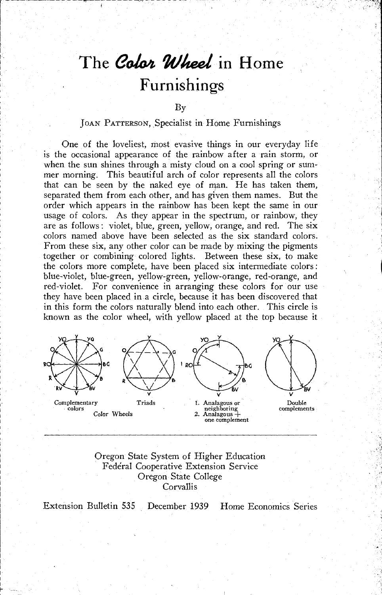# The Color Wheel in Home Furnishings

#### By

## JOAN PATTERSON, Specialist in Home Furnishings

One of the loveliest, most evasive things in our everyday life is the occasional appearance of the rainbow after a rain storm, or when the sun shines through a misty cloud on a cool spring or summer morning. This beautiful arch of color represents all the colors that can be seen by the naked eye of man. He has taken them, separated them from each other, and has given them names. But the order which appears in the rainbow has been kept the same in our usage of colors. As they appear in the spectrum, or rainbow, they are as follows: violet, blue, green, yellow, orange, and red. The six colors named above have been selected as the six standard colors. From these six, any other color can be made by mixing the pigments together or combining colored lights. Between these six, to make the colors more complete, have been placed six intermediate colors : blue-violet, blue-green, yellow-green, yellow-orange, red-orange, and red-violet. For convenience in arranging these colors for our use they have been placed in a circle, because it has been discovered that in this form the colors naturally blend into each other. This circle is known as the color wheel, with yellow placed at the top because it



Oregon State System of Higher Education Federal Cooperative Extension Service Oregon State College **Corvallis** 

Extension Bulletin 535 December 1939 Home Economics Series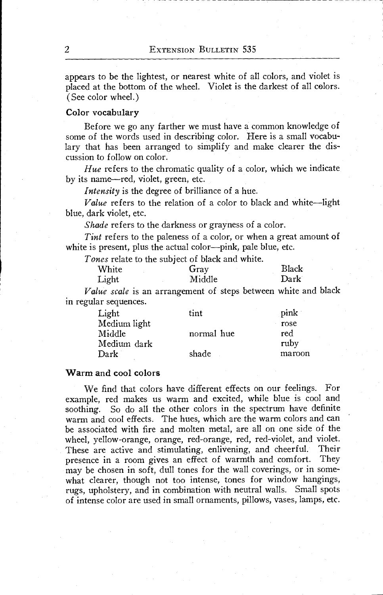appears to be the lightest, or nearest white of all colors, and violet is placed at the bottom of the wheel. Violet is the darkest of all colors. (See color wheel.)

## Color vocabulary

Before we go any farther we must have a common knowledge of some of the words used in describing color. Here is a small vocabulary that has been arranged to simplify and make clearer the discussion to follow on color.

Hue refers to the chromatic quality of a color, which we indicate by its name-red, violet, green, etc.

Intensity is the degree of brilliance of a hue.

Value refers to the relation of a color to black and white-light blue, dark violet, etc.

Shade refers to the darkness or grayness of a color.

Tint refers to the paleness of a color, or when a great amount of white is present, plus the actual color— $pink$ , pale blue, etc.

Tones relate to the subject of black and white.

| White | Gray   | Black |
|-------|--------|-------|
| Light | Middle | Dark  |

Value scale is an arrangement of steps between white and black in regular sequences.

| Light        | tint       | pink   |
|--------------|------------|--------|
| Medium light |            | rose   |
| Middle       | normal hue | red    |
| Medium dark  |            | ruby   |
| Dark         | shade      | maroon |

## Warm and cool colors

We find that colors have different effects on our feelings. For example, red makes us warm and excited, while blue is cool and soothing. So do all the other colors in the spectrum have definite warm and cool effects. The hues, which are the warm colors and can be associated with fire and molten metal, are all on one side of the wheel, yellow-orange, orange, red-orange, red, red-violet, and violet. These are active and stimulating, enlivening, and cheerful. Their presence in a room gives an effect of warmth and comfort. They may be chosen in soft, dull tones for the wall coverings, or in somewhat clearer, though not too intense, tones for window hangings, rugs, upholstery, and in combination with neutral walls. Small spots of intense color are used in small ornaments, pillows, vases, lamps, etc.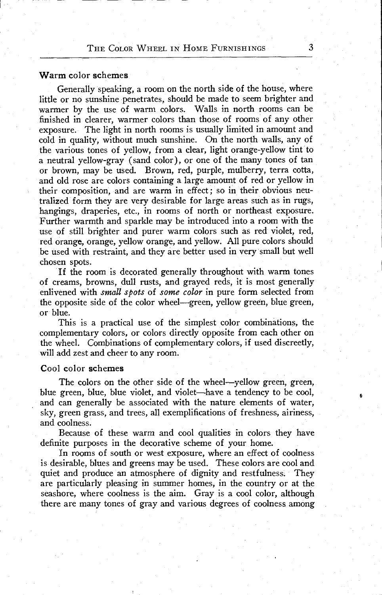### Warm color schemes

Generally speaking, a room on the north side of the house, where little or no sunshine penetrates, should be made to seem brighter and warmer by the use of warm colors. Walls in north rooms can be finished in clearer, warmer colors than those of rooms of any other exposure. The light in north rooms is usually limited in amount and cold in quality, without much sunshine. On the north walls, any of the various tones of yellow, from a clear, light orange-yellow tint to a neutral yellow-gray (sand color), or one of the many tones of tan or brown, may be used. Brown, red, purple, mulberry, terra cotta, and old rose are colors containing a large amount of red or yellow in their composition, and are warm in effect; so in their obvious neutralized form they are very desirable for large areas such as in rugs, hangings, draperies, etc., in rooms of north or northeast exposure. Further warmth and sparkle may be introduced into a room with the use of still brighter and purer warm colors such as red violet, red, red orange, orange, yellow orange, and yellow. All pure colors should be used with restraint, and they are better used in very small but well chosen spots.

If the room is decorated generally throughout with warm tones of creams, browns, dull rusts, and grayed reds, it is most generally enlivened with *small spots* of *some color* in pure form selected from the opposite side of the color wheel—green, yellow green, blue green, or blue.

This is a practical use of the simplest color combinations, the complementary colors, or colors directly opposite from each other on the wheel. Combinations of complementary colors, if used discreetly, will add zest and cheer to any room.

#### Cool color schemes

The colors on the other side of the wheel—yellow green, green, blue green, blue, blue violet, and violet—have a tendency to be cool, and can generally be associated with the nature elements of water, sky, green grass, and trees, all exemplifications of freshness, airiness, and coolness.

Because of these warm and cool qualities in colors they have definite purposes in the decorative scheme of your home.

In rooms of south or west exposure, where an effect of coolness is desirable, blues and greens may be used. These colors are cool and quiet and produce an atmosphere of dignity and restfulness. They are particularly pleasing in summer homes, in the country or at the seashore, where coolness is the aim. Gray is a cool color, although there are many tones of gray and various degrees of coolness among